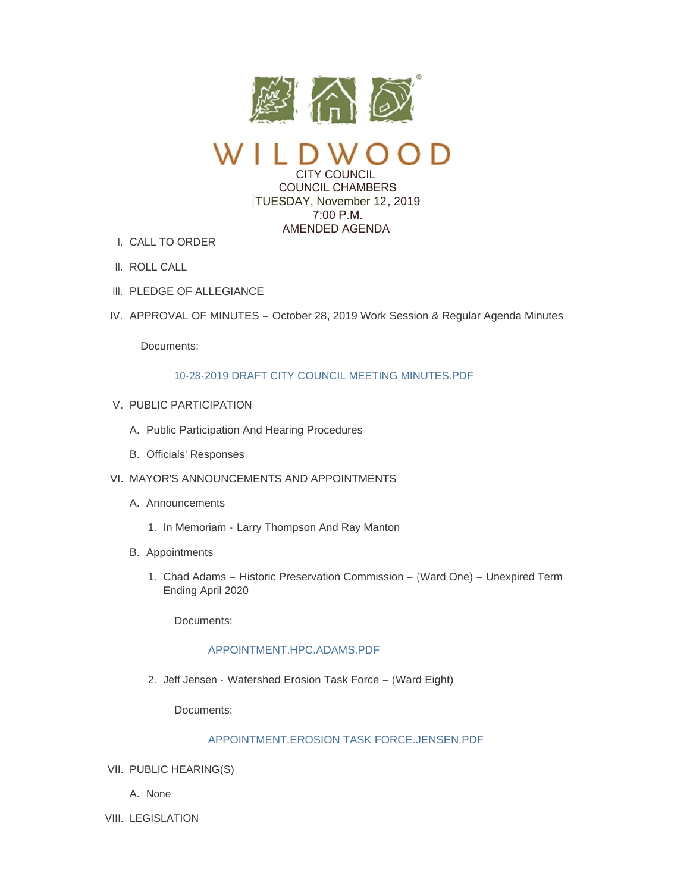

CITY COUNCIL COUNCIL CHAMBERS TUESDAY, November 12, 2019 7:00 P.M. AMENDED AGENDA

- CALL TO ORDER I.
- II. ROLL CALL
- III. PLEDGE OF ALLEGIANCE
- IV. APPROVAL OF MINUTES October 28, 2019 Work Session & Regular Agenda Minutes

Documents:

## [10-28-2019 DRAFT CITY COUNCIL MEETING MINUTES.PDF](https://www.cityofwildwood.com/AgendaCenter/ViewFile/Item/22992?fileID=28300)

- V. PUBLIC PARTICIPATION
	- A. Public Participation And Hearing Procedures
	- B. Officials' Responses

## VI. MAYOR'S ANNOUNCEMENTS AND APPOINTMENTS

- A. Announcements
	- 1. In Memoriam Larry Thompson And Ray Manton
- B. Appointments
	- 1. Chad Adams Historic Preservation Commission (Ward One) Unexpired Term Ending April 2020

Documents:

# [APPOINTMENT.HPC.ADAMS.PDF](https://www.cityofwildwood.com/AgendaCenter/ViewFile/Item/22993?fileID=28301)

2. Jeff Jensen - Watershed Erosion Task Force – (Ward Eight)

Documents:

# [APPOINTMENT.EROSION TASK FORCE.JENSEN.PDF](https://www.cityofwildwood.com/AgendaCenter/ViewFile/Item/22994?fileID=28302)

- VII. PUBLIC HEARING(S)
	- A. None
- VIII. LEGISLATION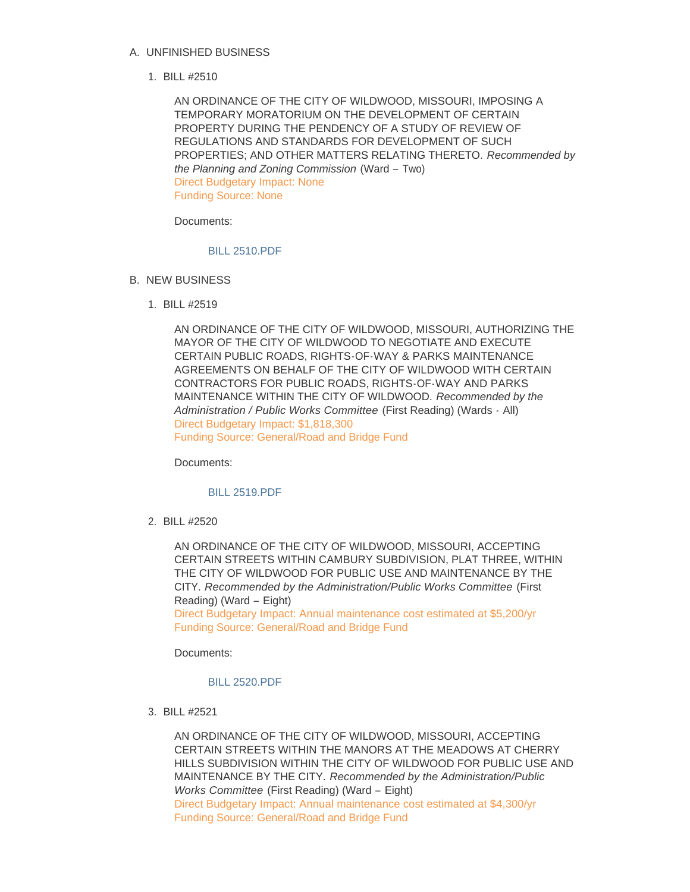- UNFINISHED BUSINESS A.
	- BILL #2510 1.

AN ORDINANCE OF THE CITY OF WILDWOOD, MISSOURI, IMPOSING A TEMPORARY MORATORIUM ON THE DEVELOPMENT OF CERTAIN PROPERTY DURING THE PENDENCY OF A STUDY OF REVIEW OF REGULATIONS AND STANDARDS FOR DEVELOPMENT OF SUCH PROPERTIES; AND OTHER MATTERS RELATING THERETO. *Recommended by the Planning and Zoning Commission* (Ward – Two) Direct Budgetary Impact: None Funding Source: None

Documents:

## [BILL 2510.PDF](https://www.cityofwildwood.com/AgendaCenter/ViewFile/Item/22960?fileID=28273)

- **B. NEW BUSINESS** 
	- BILL #2519 1.

AN ORDINANCE OF THE CITY OF WILDWOOD, MISSOURI, AUTHORIZING THE MAYOR OF THE CITY OF WILDWOOD TO NEGOTIATE AND EXECUTE CERTAIN PUBLIC ROADS, RIGHTS-OF-WAY & PARKS MAINTENANCE AGREEMENTS ON BEHALF OF THE CITY OF WILDWOOD WITH CERTAIN CONTRACTORS FOR PUBLIC ROADS, RIGHTS-OF-WAY AND PARKS MAINTENANCE WITHIN THE CITY OF WILDWOOD. *Recommended by the Administration / Public Works Committee* (First Reading) (Wards - All) Direct Budgetary Impact: \$1,818,300 Funding Source: General/Road and Bridge Fund

Documents:

## [BILL 2519.PDF](https://www.cityofwildwood.com/AgendaCenter/ViewFile/Item/22973?fileID=28282)

BILL #2520 2.

AN ORDINANCE OF THE CITY OF WILDWOOD, MISSOURI, ACCEPTING CERTAIN STREETS WITHIN CAMBURY SUBDIVISION, PLAT THREE, WITHIN THE CITY OF WILDWOOD FOR PUBLIC USE AND MAINTENANCE BY THE CITY. *Recommended by the Administration/Public Works Committee* (First Reading) (Ward – Eight)

Direct Budgetary Impact: Annual maintenance cost estimated at \$5,200/yr Funding Source: General/Road and Bridge Fund

Documents:

# [BILL 2520.PDF](https://www.cityofwildwood.com/AgendaCenter/ViewFile/Item/22974?fileID=28283)

BILL #2521 3.

AN ORDINANCE OF THE CITY OF WILDWOOD, MISSOURI, ACCEPTING CERTAIN STREETS WITHIN THE MANORS AT THE MEADOWS AT CHERRY HILLS SUBDIVISION WITHIN THE CITY OF WILDWOOD FOR PUBLIC USE AND MAINTENANCE BY THE CITY. *Recommended by the Administration/Public Works Committee* (First Reading) (Ward – Eight) Direct Budgetary Impact: Annual maintenance cost estimated at \$4,300/yr Funding Source: General/Road and Bridge Fund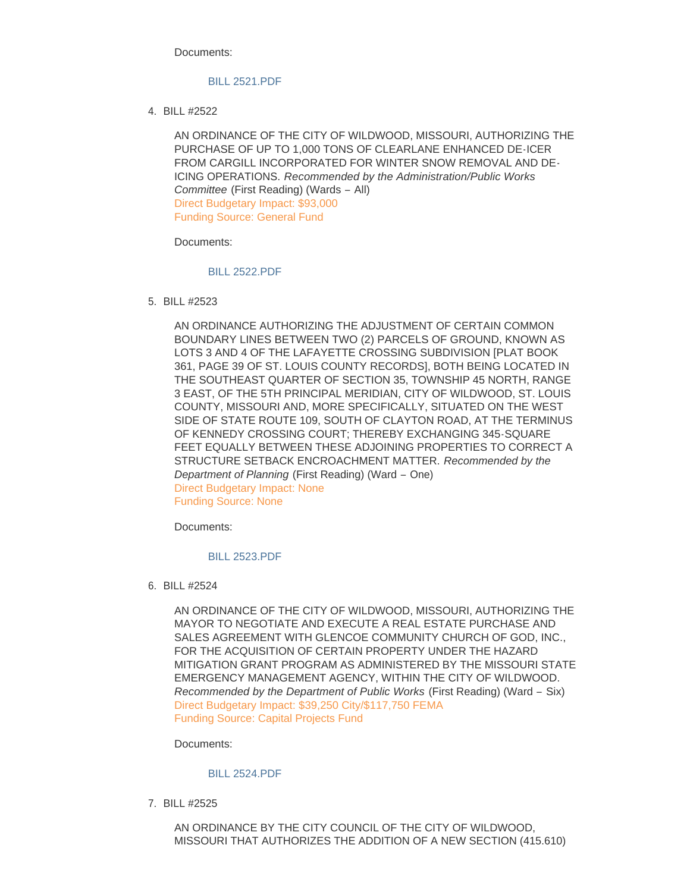Documents:

### [BILL 2521.PDF](https://www.cityofwildwood.com/AgendaCenter/ViewFile/Item/22975?fileID=28284)

BILL #2522 4.

AN ORDINANCE OF THE CITY OF WILDWOOD, MISSOURI, AUTHORIZING THE PURCHASE OF UP TO 1,000 TONS OF CLEARLANE ENHANCED DE-ICER FROM CARGILL INCORPORATED FOR WINTER SNOW REMOVAL AND DE-ICING OPERATIONS. *Recommended by the Administration/Public Works Committee* (First Reading) (Wards – All) Direct Budgetary Impact: \$93,000 Funding Source: General Fund

Documents:

### [BILL 2522.PDF](https://www.cityofwildwood.com/AgendaCenter/ViewFile/Item/22976?fileID=28285)

BILL #2523 5.

AN ORDINANCE AUTHORIZING THE ADJUSTMENT OF CERTAIN COMMON BOUNDARY LINES BETWEEN TWO (2) PARCELS OF GROUND, KNOWN AS LOTS 3 AND 4 OF THE LAFAYETTE CROSSING SUBDIVISION [PLAT BOOK 361, PAGE 39 OF ST. LOUIS COUNTY RECORDS], BOTH BEING LOCATED IN THE SOUTHEAST QUARTER OF SECTION 35, TOWNSHIP 45 NORTH, RANGE 3 EAST, OF THE 5TH PRINCIPAL MERIDIAN, CITY OF WILDWOOD, ST. LOUIS COUNTY, MISSOURI AND, MORE SPECIFICALLY, SITUATED ON THE WEST SIDE OF STATE ROUTE 109, SOUTH OF CLAYTON ROAD, AT THE TERMINUS OF KENNEDY CROSSING COURT; THEREBY EXCHANGING 345-SQUARE FEET EQUALLY BETWEEN THESE ADJOINING PROPERTIES TO CORRECT A STRUCTURE SETBACK ENCROACHMENT MATTER. *Recommended by the Department of Planning* (First Reading) (Ward – One) Direct Budgetary Impact: None Funding Source: None

Documents:

## [BILL 2523.PDF](https://www.cityofwildwood.com/AgendaCenter/ViewFile/Item/22977?fileID=28286)

BILL #2524 6.

AN ORDINANCE OF THE CITY OF WILDWOOD, MISSOURI, AUTHORIZING THE MAYOR TO NEGOTIATE AND EXECUTE A REAL ESTATE PURCHASE AND SALES AGREEMENT WITH GLENCOE COMMUNITY CHURCH OF GOD, INC., FOR THE ACQUISITION OF CERTAIN PROPERTY UNDER THE HAZARD MITIGATION GRANT PROGRAM AS ADMINISTERED BY THE MISSOURI STATE EMERGENCY MANAGEMENT AGENCY, WITHIN THE CITY OF WILDWOOD. *Recommended by the Department of Public Works* (First Reading) (Ward – Six) Direct Budgetary Impact: \$39,250 City/\$117,750 FEMA Funding Source: Capital Projects Fund

Documents:

#### [BILL 2524.PDF](https://www.cityofwildwood.com/AgendaCenter/ViewFile/Item/22978?fileID=28287)

BILL #2525 7.

AN ORDINANCE BY THE CITY COUNCIL OF THE CITY OF WILDWOOD, MISSOURI THAT AUTHORIZES THE ADDITION OF A NEW SECTION (415.610)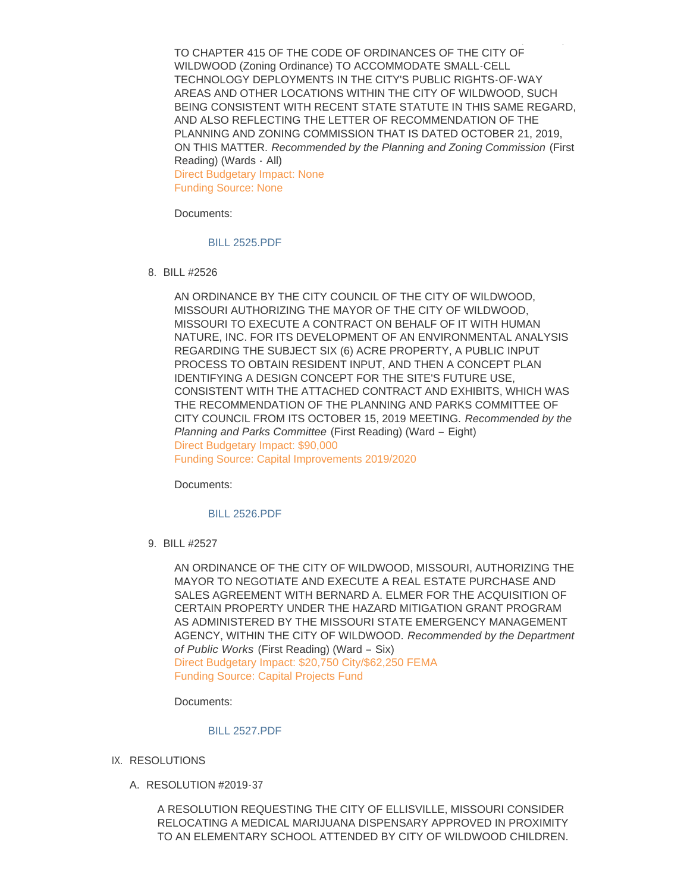TO CHAPTER 415 OF THE CODE OF ORDINANCES OF THE CITY OF WILDWOOD (Zoning Ordinance) TO ACCOMMODATE SMALL-CELL TECHNOLOGY DEPLOYMENTS IN THE CITY'S PUBLIC RIGHTS-OF-WAY AREAS AND OTHER LOCATIONS WITHIN THE CITY OF WILDWOOD, SUCH BEING CONSISTENT WITH RECENT STATE STATUTE IN THIS SAME REGARD, AND ALSO REFLECTING THE LETTER OF RECOMMENDATION OF THE PLANNING AND ZONING COMMISSION THAT IS DATED OCTOBER 21, 2019, ON THIS MATTER. *Recommended by the Planning and Zoning Commission* (First Reading) (Wards - All) Direct Budgetary Impact: None

MISSOURI THAT AUTHORIZES THE ADDITION OF A NEW SECTION (415.610)

Funding Source: None

Documents:

### [BILL 2525.PDF](https://www.cityofwildwood.com/AgendaCenter/ViewFile/Item/22979?fileID=28288)

BILL #2526 8.

AN ORDINANCE BY THE CITY COUNCIL OF THE CITY OF WILDWOOD, MISSOURI AUTHORIZING THE MAYOR OF THE CITY OF WILDWOOD, MISSOURI TO EXECUTE A CONTRACT ON BEHALF OF IT WITH HUMAN NATURE, INC. FOR ITS DEVELOPMENT OF AN ENVIRONMENTAL ANALYSIS REGARDING THE SUBJECT SIX (6) ACRE PROPERTY, A PUBLIC INPUT PROCESS TO OBTAIN RESIDENT INPUT, AND THEN A CONCEPT PLAN IDENTIFYING A DESIGN CONCEPT FOR THE SITE'S FUTURE USE, CONSISTENT WITH THE ATTACHED CONTRACT AND EXHIBITS, WHICH WAS THE RECOMMENDATION OF THE PLANNING AND PARKS COMMITTEE OF CITY COUNCIL FROM ITS OCTOBER 15, 2019 MEETING. *Recommended by the Planning and Parks Committee* (First Reading) (Ward – Eight) Direct Budgetary Impact: \$90,000 Funding Source: Capital Improvements 2019/2020

Documents:

[BILL 2526.PDF](https://www.cityofwildwood.com/AgendaCenter/ViewFile/Item/22980?fileID=28289)

BILL #2527 9.

AN ORDINANCE OF THE CITY OF WILDWOOD, MISSOURI, AUTHORIZING THE MAYOR TO NEGOTIATE AND EXECUTE A REAL ESTATE PURCHASE AND SALES AGREEMENT WITH BERNARD A. ELMER FOR THE ACQUISITION OF CERTAIN PROPERTY UNDER THE HAZARD MITIGATION GRANT PROGRAM AS ADMINISTERED BY THE MISSOURI STATE EMERGENCY MANAGEMENT AGENCY, WITHIN THE CITY OF WILDWOOD. *Recommended by the Department of Public Works* (First Reading) (Ward – Six) Direct Budgetary Impact: \$20,750 City/\$62,250 FEMA

Funding Source: Capital Projects Fund

Documents:

# [BILL 2527.PDF](https://www.cityofwildwood.com/AgendaCenter/ViewFile/Item/22981?fileID=28290)

- IX. RESOLUTIONS
	- A. RESOLUTION #2019-37

A RESOLUTION REQUESTING THE CITY OF ELLISVILLE, MISSOURI CONSIDER RELOCATING A MEDICAL MARIJUANA DISPENSARY APPROVED IN PROXIMITY TO AN ELEMENTARY SCHOOL ATTENDED BY CITY OF WILDWOOD CHILDREN.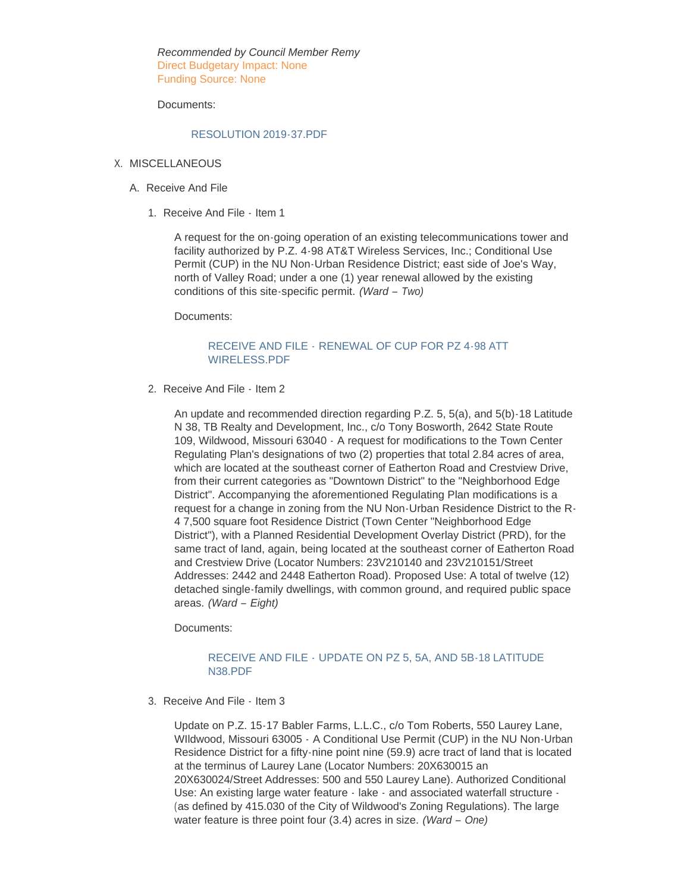*Recommended by Council Member Remy*  Direct Budgetary Impact: None Funding Source: None

Documents:

#### [RESOLUTION 2019-37.PDF](https://www.cityofwildwood.com/AgendaCenter/ViewFile/Item/22982?fileID=28298)

# X. MISCELLANEOUS

- A. Receive And File
	- 1. Receive And File Item 1

A request for the on-going operation of an existing telecommunications tower and facility authorized by P.Z. 4-98 AT&T Wireless Services, Inc.; Conditional Use Permit (CUP) in the NU Non-Urban Residence District; east side of Joe's Way, north of Valley Road; under a one (1) year renewal allowed by the existing conditions of this site-specific permit. *(Ward – Two)*

Documents:

## RECEIVE AND FILE - [RENEWAL OF CUP FOR PZ 4-98 ATT](https://www.cityofwildwood.com/AgendaCenter/ViewFile/Item/22984?fileID=28291)  WIRELESS.PDF

2. Receive And File - Item 2

An update and recommended direction regarding P.Z. 5, 5(a), and 5(b)-18 Latitude N 38, TB Realty and Development, Inc., c/o Tony Bosworth, 2642 State Route 109, Wildwood, Missouri 63040 - A request for modifications to the Town Center Regulating Plan's designations of two (2) properties that total 2.84 acres of area, which are located at the southeast corner of Eatherton Road and Crestview Drive, from their current categories as "Downtown District" to the "Neighborhood Edge District". Accompanying the aforementioned Regulating Plan modifications is a request for a change in zoning from the NU Non-Urban Residence District to the R-4 7,500 square foot Residence District (Town Center "Neighborhood Edge District"), with a Planned Residential Development Overlay District (PRD), for the same tract of land, again, being located at the southeast corner of Eatherton Road and Crestview Drive (Locator Numbers: 23V210140 and 23V210151/Street Addresses: 2442 and 2448 Eatherton Road). Proposed Use: A total of twelve (12) detached single-family dwellings, with common ground, and required public space areas. *(Ward – Eight)*

Documents:

#### RECEIVE AND FILE - [UPDATE ON PZ 5, 5A, AND 5B-18 LATITUDE](https://www.cityofwildwood.com/AgendaCenter/ViewFile/Item/22985?fileID=28292)  N38.PDF

3. Receive And File - Item 3

Update on P.Z. 15-17 Babler Farms, L.L.C., c/o Tom Roberts, 550 Laurey Lane, WIldwood, Missouri 63005 - A Conditional Use Permit (CUP) in the NU Non-Urban Residence District for a fifty-nine point nine (59.9) acre tract of land that is located at the terminus of Laurey Lane (Locator Numbers: 20X630015 an 20X630024/Street Addresses: 500 and 550 Laurey Lane). Authorized Conditional Use: An existing large water feature - lake - and associated waterfall structure - (as defined by 415.030 of the City of Wildwood's Zoning Regulations). The large water feature is three point four (3.4) acres in size. *(Ward – One)*